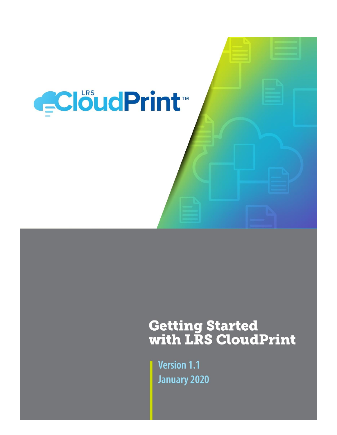

# **Getting Started<br>with LRS CloudPrint**

**Version 1.1 January 2020**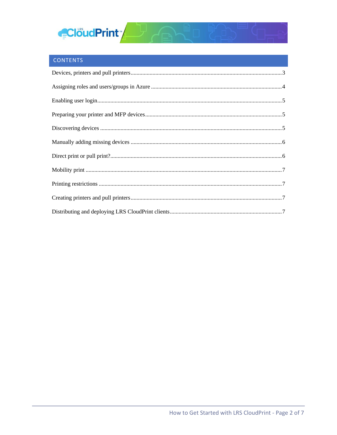

## CONTENTS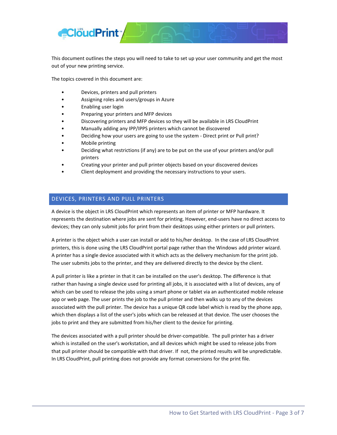

This document outlines the steps you will need to take to set up your user community and get the most out of your new printing service.

The topics covered in this document are:

- Devices, printers and pull printers
- Assigning roles and users/groups in Azure
- Enabling user login
- Preparing your printers and MFP devices
- Discovering printers and MFP devices so they will be available in LRS CloudPrint
- Manually adding any IPP/IPPS printers which cannot be discovered
- Deciding how your users are going to use the system Direct print or Pull print?
- Mobile printing
- Deciding what restrictions (if any) are to be put on the use of your printers and/or pull printers
- Creating your printer and pull printer objects based on your discovered devices
- Client deployment and providing the necessary instructions to your users.

#### <span id="page-2-0"></span>DEVICES, PRINTERS AND PULL PRINTERS

A device is the object in LRS CloudPrint which represents an item of printer or MFP hardware. It represents the destination where jobs are sent for printing. However, end-users have no direct access to devices; they can only submit jobs for print from their desktops using either printers or pull printers.

A printer is the object which a user can install or add to his/her desktop. In the case of LRS CloudPrint printers, this is done using the LRS CloudPrint portal page rather than the Windows add printer wizard. A printer has a single device associated with it which acts as the delivery mechanism for the print job. The user submits jobs to the printer, and they are delivered directly to the device by the client.

A pull printer is like a printer in that it can be installed on the user's desktop. The difference is that rather than having a single device used for printing all jobs, it is associated with a list of devices, any of which can be used to release the jobs using a smart phone or tablet via an authenticated mobile release app or web page. The user prints the job to the pull printer and then walks up to any of the devices associated with the pull printer. The device has a unique QR code label which is read by the phone app, which then displays a list of the user's jobs which can be released at that device. The user chooses the jobs to print and they are submitted from his/her client to the device for printing.

The devices associated with a pull printer should be driver-compatible. The pull printer has a driver which is installed on the user's workstation, and all devices which might be used to release jobs from that pull printer should be compatible with that driver. If not, the printed results will be unpredictable. In LRS CloudPrint, pull printing does not provide any format conversions for the print file.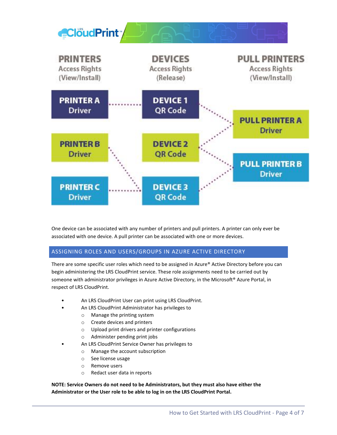

One device can be associated with any number of printers and pull printers. A printer can only ever be associated with one device. A pull printer can be associated with one or more devices.

### <span id="page-3-0"></span>ASSIGNING ROLES AND USERS/GROUPS IN AZURE ACTIVE DIRECTORY

There are some specific user roles which need to be assigned in Azure® Active Directory before you can begin administering the LRS CloudPrint service. These role assignments need to be carried out by someone with administrator privileges in Azure Active Directory, in the Microsoft® Azure Portal, in respect of LRS CloudPrint.

- An LRS CloudPrint User can print using LRS CloudPrint.
	- An LRS CloudPrint Administrator has privileges to
		- o Manage the printing system
			- o Create devices and printers
			- o Upload print drivers and printer configurations
			- o Administer pending print jobs
	- An LRS CloudPrint Service Owner has privileges to
		- o Manage the account subscription
		- o See license usage
		- o Remove users
		- o Redact user data in reports

**NOTE: Service Owners do not need to be Administrators, but they must also have either the Administrator or the User role to be able to log in on the LRS CloudPrint Portal.**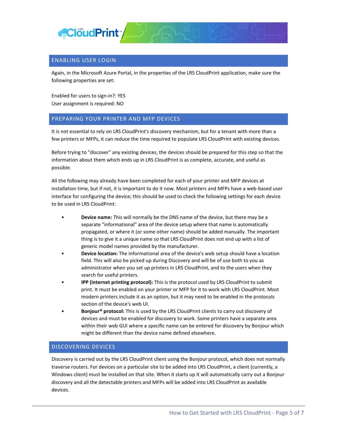

#### <span id="page-4-0"></span>ENABLING USER LOGIN

Again, in the Microsoft Azure Portal, in the properties of the LRS CloudPrint application, make sure the following properties are set:

Enabled for users to sign-in?: YES User assignment is required: NO

#### <span id="page-4-1"></span>PREPARING YOUR PRINTER AND MFP DEVICES

It is not essential to rely on LRS CloudPrint's discovery mechanism, but for a tenant with more than a few printers or MFPs, it can reduce the time required to populate LRS CloudPrint with existing devices.

Before trying to "discover" any existing devices, the devices should be prepared for this step so that the information about them which ends up in LRS CloudPrint is as complete, accurate, and useful as possible.

All the following may already have been completed for each of your printer and MFP devices at installation time, but if not, it is important to do it now. Most printers and MFPs have a web-based user interface for configuring the device; this should be used to check the following settings for each device to be used in LRS CloudPrint:

- **Device name:** This will normally be the DNS name of the device, but there may be a separate "informational" area of the device setup where that name is automatically propagated, or where it (or some other name) should be added manually. The important thing is to give it a unique name so that LRS CloudPrint does not end up with a list of generic model names provided by the manufacturer.
- **Device location:** The informational area of the device's web setup should have a location field. This will also be picked up during Discovery and will be of use both to you as administrator when you set up printers in LRS CloudPrint, and to the users when they search for useful printers.
- **IPP (internet printing protocol):** This is the protocol used by LRS CloudPrint to submit print. It must be enabled on your printer or MFP for it to work with LRS CloudPrint. Most modern printers include it as an option, but it may need to be enabled in the protocols section of the device's web UI.
- **Bonjour® protocol:** This is used by the LRS CloudPrint clients to carry out discovery of devices and must be enabled for discovery to work. Some printers have a separate area within their web GUI where a specific name can be entered for discovery by Bonjour which might be different than the device name defined elsewhere.

#### <span id="page-4-2"></span>DISCOVERING DEVICES

Discovery is carried out by the LRS CloudPrint client using the Bonjour protocol, which does not normally traverse routers. For devices on a particular site to be added into LRS CloudPrint, a client (currently, a Windows client) must be installed on that site. When it starts up it will automatically carry out a Bonjour discovery and all the detectable printers and MFPs will be added into LRS CloudPrint as available devices.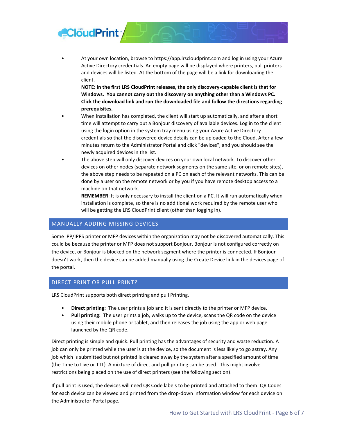

• At your own location, browse to https://app.lrscloudprint.com and log in using your Azure Active Directory credentials. An empty page will be displayed where printers, pull printers and devices will be listed. At the bottom of the page will be a link for downloading the client.

**NOTE: In the first LRS CloudPrint releases, the only discovery-capable client is that for Windows. You cannot carry out the discovery on anything other than a Windows PC. Click the download link and run the downloaded file and follow the directions regarding prerequisites.** 

- When installation has completed, the client will start up automatically, and after a short time will attempt to carry out a Bonjour discovery of available devices. Log in to the client using the login option in the system tray menu using your Azure Active Directory credentials so that the discovered device details can be uploaded to the Cloud. After a few minutes return to the Administrator Portal and click "devices", and you should see the newly acquired devices in the list.
- The above step will only discover devices on your own local network. To discover other devices on other nodes (separate network segments on the same site, or on remote sites), the above step needs to be repeated on a PC on each of the relevant networks. This can be done by a user on the remote network or by you if you have remote desktop access to a machine on that network.

**REMEMBER**: It is only necessary to install the client on a PC. It will run automatically when installation is complete, so there is no additional work required by the remote user who will be getting the LRS CloudPrint client (other than logging in).

#### <span id="page-5-0"></span>MANUALLY ADDING MISSING DEVICES

Some IPP/IPPS printer or MFP devices within the organization may not be discovered automatically. This could be because the printer or MFP does not support Bonjour, Bonjour is not configured correctly on the device, or Bonjour is blocked on the network segment where the printer is connected. If Bonjour doesn't work, then the device can be added manually using the Create Device link in the devices page of the portal.

#### <span id="page-5-1"></span>DIRECT PRINT OR PULL PRINT?

LRS CloudPrint supports both direct printing and pull Printing.

- **Direct printing:** The user prints a job and it is sent directly to the printer or MFP device.
- **Pull printing:** The user prints a job, walks up to the device, scans the QR code on the device using their mobile phone or tablet, and then releases the job using the app or web page launched by the QR code.

Direct printing is simple and quick. Pull printing has the advantages of security and waste reduction. A job can only be printed while the user is at the device, so the document is less likely to go astray. Any job which is submitted but not printed is cleared away by the system after a specified amount of time (the Time to Live or TTL). A mixture of direct and pull printing can be used. This might involve restrictions being placed on the use of direct printers (see the following section).

If pull print is used, the devices will need QR Code labels to be printed and attached to them. QR Codes for each device can be viewed and printed from the drop-down information window for each device on the Administrator Portal page.